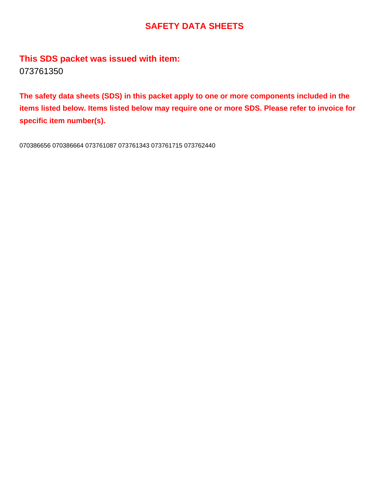## **SAFETY DATA SHEETS**

**This SDS packet was issued with item:** 073761350

**The safety data sheets (SDS) in this packet apply to one or more components included in the items listed below. Items listed below may require one or more SDS. Please refer to invoice for specific item number(s).**

070386656 070386664 073761087 073761343 073761715 073762440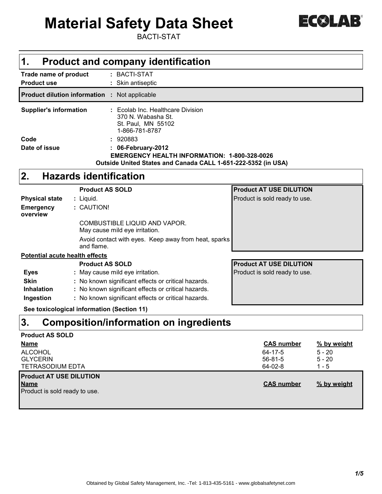

# **Material Safety Data Sheet**

BACTI-STAT

| $\mathbf 1$ .                               | <b>Product and company identification</b>                                                       |                                |
|---------------------------------------------|-------------------------------------------------------------------------------------------------|--------------------------------|
| Trade name of product<br><b>Product use</b> | : BACTI-STAT<br>: Skin antiseptic                                                               |                                |
|                                             | <b>Product dilution information : Not applicable</b>                                            |                                |
| <b>Supplier's information</b>               | : Ecolab Inc. Healthcare Division<br>370 N. Wabasha St.<br>St. Paul, MN 55102<br>1-866-781-8787 |                                |
| Code                                        | : 920883                                                                                        |                                |
| Date of issue                               | : 06-February-2012                                                                              |                                |
|                                             | <b>EMERGENCY HEALTH INFORMATION: 1-800-328-0026</b>                                             |                                |
|                                             | Outside United States and Canada CALL 1-651-222-5352 (in USA)                                   |                                |
| 2.                                          | <b>Hazards identification</b>                                                                   |                                |
|                                             | <b>Product AS SOLD</b>                                                                          | <b>Product AT USE DILUTION</b> |
| <b>Physical state</b>                       | : Liquid.                                                                                       | Product is sold ready to use.  |
| <b>Emergency</b><br>overview                | : CAUTION!                                                                                      |                                |
|                                             | COMBUSTIBLE LIQUID AND VAPOR.<br>May cause mild eye irritation.                                 |                                |
|                                             | Avoid contact with eyes. Keep away from heat, sparks<br>and flame.                              |                                |
| <b>Potential acute health effects</b>       |                                                                                                 |                                |
|                                             | <b>Product AS SOLD</b>                                                                          | <b>Product AT USE DILUTION</b> |
| <b>Eyes</b>                                 | : May cause mild eye irritation.                                                                | Product is sold ready to use.  |
| <b>Skin</b>                                 | : No known significant effects or critical hazards.                                             |                                |
| <b>Inhalation</b>                           | : No known significant effects or critical hazards.                                             |                                |
| Ingestion                                   | : No known significant effects or critical hazards.                                             |                                |
|                                             | See toxicological information (Section 11)                                                      |                                |

## **Composition/information on ingredients 3.**

| <b>Product AS SOLD</b>         |                   |             |
|--------------------------------|-------------------|-------------|
| <b>Name</b>                    | <b>CAS number</b> | % by weight |
| <b>ALCOHOL</b>                 | 64-17-5           | $5 - 20$    |
| <b>GLYCERIN</b>                | $56 - 81 - 5$     | $5 - 20$    |
| <b>TETRASODIUM EDTA</b>        | 64-02-8           | $1 - 5$     |
| <b>Product AT USE DILUTION</b> |                   |             |
| <b>Name</b>                    | <b>CAS number</b> | % by weight |
| Product is sold ready to use.  |                   |             |
|                                |                   |             |
|                                |                   |             |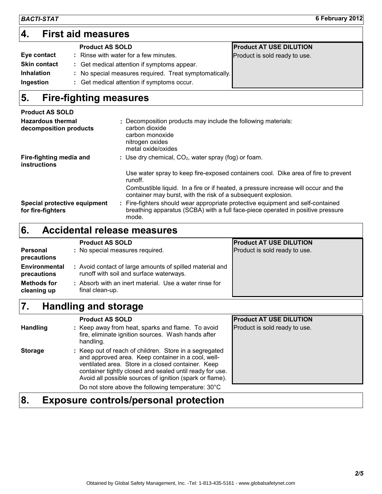## **First aid measures 4.**

|                     | <b>Product AS SOLD</b>                                 | <b>Product AT USE DILUTION</b> |
|---------------------|--------------------------------------------------------|--------------------------------|
| Eye contact         | : Rinse with water for a few minutes.                  | Product is sold ready to use.  |
| <b>Skin contact</b> | : Get medical attention if symptoms appear.            |                                |
| <b>Inhalation</b>   | : No special measures required. Treat symptomatically. |                                |
| Ingestion           | : Get medical attention if symptoms occur.             |                                |
|                     |                                                        |                                |

#### **Fire-fighting measures 5.**

| <b>Product AS SOLD</b>                             |                                                                                                                                                                           |
|----------------------------------------------------|---------------------------------------------------------------------------------------------------------------------------------------------------------------------------|
| <b>Hazardous thermal</b><br>decomposition products | : Decomposition products may include the following materials:<br>carbon dioxide<br>carbon monoxide<br>nitrogen oxides<br>metal oxide/oxides                               |
| Fire-fighting media and<br><b>instructions</b>     | : Use dry chemical, $CO2$ , water spray (fog) or foam.                                                                                                                    |
|                                                    | Use water spray to keep fire-exposed containers cool. Dike area of fire to prevent<br>runoff.                                                                             |
|                                                    | Combustible liquid. In a fire or if heated, a pressure increase will occur and the<br>container may burst, with the risk of a subsequent explosion.                       |
| Special protective equipment<br>for fire-fighters  | Fire-fighters should wear appropriate protective equipment and self-contained<br>breathing apparatus (SCBA) with a full face-piece operated in positive pressure<br>mode. |

#### **Accidental release measures 6.**

|                                     | <b>Product AS SOLD</b>                                                                              | <b>Product AT USE DILUTION</b> |
|-------------------------------------|-----------------------------------------------------------------------------------------------------|--------------------------------|
| <b>Personal</b><br>precautions      | : No special measures required.                                                                     | Product is sold ready to use.  |
| <b>Environmental</b><br>precautions | : Avoid contact of large amounts of spilled material and<br>runoff with soil and surface waterways. |                                |
| <b>Methods for</b><br>cleaning up   | : Absorb with an inert material. Use a water rinse for<br>final clean-up.                           |                                |
|                                     |                                                                                                     |                                |

#### **Handling and storage 7.**

|                 | <b>Product AS SOLD</b>                                                                                                                                                                                                                                                                     | <b>Product AT USE DILUTION</b> |
|-----------------|--------------------------------------------------------------------------------------------------------------------------------------------------------------------------------------------------------------------------------------------------------------------------------------------|--------------------------------|
| <b>Handling</b> | : Keep away from heat, sparks and flame. To avoid<br>fire, eliminate ignition sources. Wash hands after<br>handling.                                                                                                                                                                       | Product is sold ready to use.  |
| <b>Storage</b>  | : Keep out of reach of children. Store in a segregated<br>and approved area. Keep container in a cool, well-<br>ventilated area. Store in a closed container. Keep<br>container tightly closed and sealed until ready for use.<br>Avoid all possible sources of ignition (spark or flame). |                                |
|                 | Do not store above the following temperature: 30°C                                                                                                                                                                                                                                         |                                |

## **8. Exposure controls/personal protection**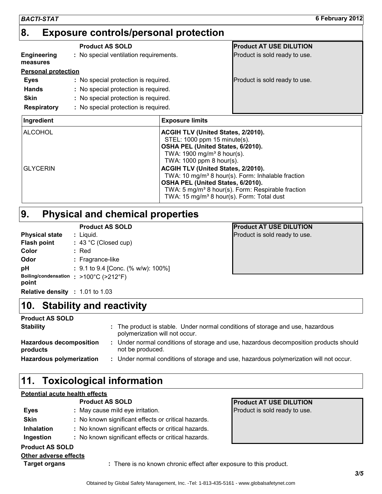| <b>BACTI-STAT</b>                 |                                              |                                                                                                                                                                                                                                                                                                                   | 6 February 2012                                                                                                                |
|-----------------------------------|----------------------------------------------|-------------------------------------------------------------------------------------------------------------------------------------------------------------------------------------------------------------------------------------------------------------------------------------------------------------------|--------------------------------------------------------------------------------------------------------------------------------|
| 8.                                | <b>Exposure controls/personal protection</b> |                                                                                                                                                                                                                                                                                                                   |                                                                                                                                |
|                                   | <b>Product AS SOLD</b>                       |                                                                                                                                                                                                                                                                                                                   | <b>Product AT USE DILUTION</b>                                                                                                 |
| <b>Engineering</b><br>measures    | : No special ventilation requirements.       |                                                                                                                                                                                                                                                                                                                   | Product is sold ready to use.                                                                                                  |
| <b>Personal protection</b>        |                                              |                                                                                                                                                                                                                                                                                                                   |                                                                                                                                |
| Eyes                              | : No special protection is required.         |                                                                                                                                                                                                                                                                                                                   | Product is sold ready to use.                                                                                                  |
| <b>Hands</b>                      | : No special protection is required.         |                                                                                                                                                                                                                                                                                                                   |                                                                                                                                |
| Skin                              | : No special protection is required.         |                                                                                                                                                                                                                                                                                                                   |                                                                                                                                |
| <b>Respiratory</b>                | : No special protection is required.         |                                                                                                                                                                                                                                                                                                                   |                                                                                                                                |
| Ingredient                        |                                              | <b>Exposure limits</b>                                                                                                                                                                                                                                                                                            |                                                                                                                                |
| <b>ALCOHOL</b><br><b>GLYCERIN</b> |                                              | ACGIH TLV (United States, 2/2010).<br>STEL: 1000 ppm 15 minute(s).<br>OSHA PEL (United States, 6/2010).<br>TWA: 1900 mg/m <sup>3</sup> 8 hour(s).<br>TWA: 1000 ppm 8 hour(s).<br>ACGIH TLV (United States, 2/2010).<br>OSHA PEL (United States, 6/2010).<br>TWA: 15 mg/m <sup>3</sup> 8 hour(s). Form: Total dust | TWA: 10 mg/m <sup>3</sup> 8 hour(s). Form: Inhalable fraction<br>TWA: 5 mg/m <sup>3</sup> 8 hour(s). Form: Respirable fraction |
|                                   |                                              |                                                                                                                                                                                                                                                                                                                   |                                                                                                                                |

## **Physical and chemical properties 9.**

|                                                 | <b>Product AS SOLD</b>             |
|-------------------------------------------------|------------------------------------|
| <b>Physical state</b>                           | : Liquid.                          |
| <b>Flash point</b>                              | $: 43 °C$ (Closed cup)             |
| Color                                           | : Red                              |
| Odor                                            | : Fragrance-like                   |
| рH                                              | : 9.1 to 9.4 [Conc. (% w/w): 100%] |
| Boiling/condensation : >100°C (>212°F)<br>point |                                    |
| <b>Relative density : 1.01 to 1.03</b>          |                                    |

**Stability and reactivity 10.**

**Product AT USE DILUTION** 

The product is stable. Under normal conditions of storage and use, hazardous **:**

Under normal conditions of storage and use, hazardous decomposition products should **:**

Product is sold ready to use.

## **11. Toxicological information**

#### **Potential acute health effects**

**Hazardous decomposition**

**Stability**

**Product AS SOLD**

**products**

|                        | <b>Product AS SOLD</b>                                             | <b>Product AT USE DILUTION</b> |
|------------------------|--------------------------------------------------------------------|--------------------------------|
| Eyes                   | : May cause mild eye irritation.                                   | Product is sold ready to use.  |
| <b>Skin</b>            | : No known significant effects or critical hazards.                |                                |
| <b>Inhalation</b>      | : No known significant effects or critical hazards.                |                                |
| Ingestion              | : No known significant effects or critical hazards.                |                                |
| <b>Product AS SOLD</b> |                                                                    |                                |
| Other adverse effects  |                                                                    |                                |
| <b>Target organs</b>   | : There is no known chronic effect after exposure to this product. |                                |

polymerization will not occur.

not be produced.

**Hazardous polymerization :** Under normal conditions of storage and use, hazardous polymerization will not occur.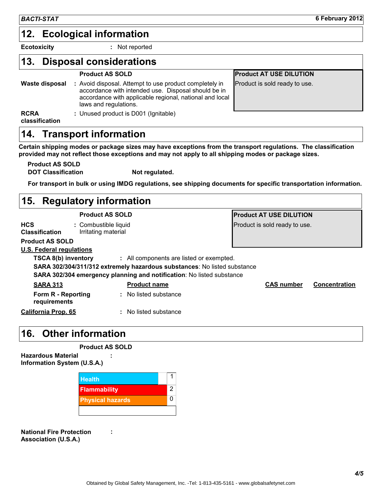## **Ecological information 12.**

**Ecotoxicity :**

: Not reported

#### **Disposal considerations 13.**

|                | Product AS SULD                                                                                                                                                                                   | <u>IFIUUL</u> |
|----------------|---------------------------------------------------------------------------------------------------------------------------------------------------------------------------------------------------|---------------|
| Waste disposal | : Avoid disposal. Attempt to use product completely in<br>accordance with intended use. Disposal should be in<br>accordance with applicable regional, national and local<br>laws and regulations. | Produ         |
| <b>RCRA</b>    | : Unused product is D001 (Ignitable)                                                                                                                                                              |               |

**Product AT USE DILUTION** oduct is sold ready to use.

**classification**

## **14. Transport information**

**Certain shipping modes or package sizes may have exceptions from the transport regulations. The classification provided may not reflect those exceptions and may not apply to all shipping modes or package sizes.**

**Product AS SOLD**

**DOT Classification Not regulated.** 

**For transport in bulk or using IMDG regulations, see shipping documents for specific transportation information.**

#### Combustible liquid **:** Irritating material **HCS Classification Regulatory information 15. U.S. Federal regulations** No listed substance **: SARA 302/304/311/312 extremely hazardous substances**: No listed substance **SARA 302/304 emergency planning and notification**: No listed substance **TSCA 8(b) inventory** : All components are listed or exempted. **SARA 313 Product name CAS number Concentration Form R - Reporting requirements : California Prop. 65 Product AS SOLD Product AT USE DILUTION** Product is sold ready to use. **Product AS SOLD**

## **Other information 16.**

| <b>Product AS SOLD</b> |
|------------------------|
|------------------------|

**:**

**:**

**Hazardous Material Information System (U.S.A.)**

| <b>Health</b>           |   |
|-------------------------|---|
| <b>Flammability</b>     | 2 |
| <b>Physical hazards</b> |   |
|                         |   |

**National Fire Protection Association (U.S.A.)**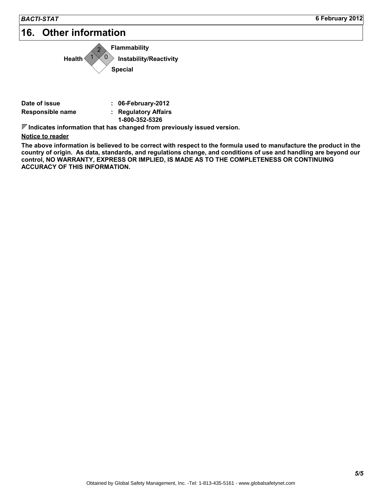## **16. Other information**



| Date of issue    | $: 06$ -February-2012 |
|------------------|-----------------------|
| Responsible name | : Regulatory Affairs  |
|                  | 1-800-352-5326        |

**Indicates information that has changed from previously issued version.**

**Notice to reader**

**The above information is believed to be correct with respect to the formula used to manufacture the product in the country of origin. As data, standards, and regulations change, and conditions of use and handling are beyond our control, NO WARRANTY, EXPRESS OR IMPLIED, IS MADE AS TO THE COMPLETENESS OR CONTINUING ACCURACY OF THIS INFORMATION.**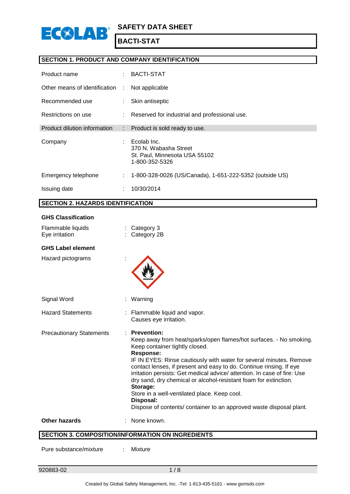

#### **SECTION 1. PRODUCT AND COMPANY IDENTIFICATION**

| Product name                  | ÷. | BACTI-STAT                                                                              |
|-------------------------------|----|-----------------------------------------------------------------------------------------|
| Other means of identification | ÷  | Not applicable                                                                          |
| Recommended use               | t. | Skin antiseptic                                                                         |
| Restrictions on use           |    | : Reserved for industrial and professional use.                                         |
| Product dilution information  | t. | Product is sold ready to use.                                                           |
| Company                       |    | Ecolab Inc.<br>370 N. Wabasha Street<br>St. Paul, Minnesota USA 55102<br>1-800-352-5326 |
| Emergency telephone           | ÷. | 1-800-328-0026 (US/Canada), 1-651-222-5352 (outside US)                                 |
| Issuing date                  | ÷  | 10/30/2014                                                                              |

#### **SECTION 2. HAZARDS IDENTIFICATION**

| <b>GHS Classification</b>           |                                                                                                                                                                                                                                                                                                                                                                                                                                                                                                                                                                                              |
|-------------------------------------|----------------------------------------------------------------------------------------------------------------------------------------------------------------------------------------------------------------------------------------------------------------------------------------------------------------------------------------------------------------------------------------------------------------------------------------------------------------------------------------------------------------------------------------------------------------------------------------------|
| Flammable liquids<br>Eye irritation | Category 3<br>: Category 2B                                                                                                                                                                                                                                                                                                                                                                                                                                                                                                                                                                  |
| <b>GHS Label element</b>            |                                                                                                                                                                                                                                                                                                                                                                                                                                                                                                                                                                                              |
| Hazard pictograms                   |                                                                                                                                                                                                                                                                                                                                                                                                                                                                                                                                                                                              |
| Signal Word                         | Warning                                                                                                                                                                                                                                                                                                                                                                                                                                                                                                                                                                                      |
| <b>Hazard Statements</b>            | : Flammable liquid and vapor.<br>Causes eye irritation.                                                                                                                                                                                                                                                                                                                                                                                                                                                                                                                                      |
| <b>Precautionary Statements</b>     | <b>Prevention:</b><br>Keep away from heat/sparks/open flames/hot surfaces. - No smoking.<br>Keep container tightly closed.<br><b>Response:</b><br>IF IN EYES: Rinse cautiously with water for several minutes. Remove<br>contact lenses, if present and easy to do. Continue rinsing. If eye<br>irritation persists: Get medical advice/ attention. In case of fire: Use<br>dry sand, dry chemical or alcohol-resistant foam for extinction.<br>Storage:<br>Store in a well-ventilated place. Keep cool.<br>Disposal:<br>Dispose of contents/ container to an approved waste disposal plant. |
| <b>Other hazards</b>                | None known.                                                                                                                                                                                                                                                                                                                                                                                                                                                                                                                                                                                  |
|                                     | <b>SECTION 3. COMPOSITION/INFORMATION ON INGREDIENTS</b>                                                                                                                                                                                                                                                                                                                                                                                                                                                                                                                                     |

**SECTION 3. COMPOSITION/INFORMATION ON INGREDIENTS**

Pure substance/mixture : Mixture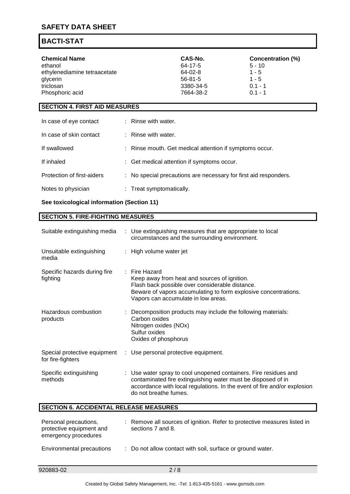### **SAFETY DATA SHEET**

### **BACTI-STAT**

| <b>Chemical Name</b>         | CAS-No.   | Concentration (%) |
|------------------------------|-----------|-------------------|
| ethanol                      | 64-17-5   | $5 - 10$          |
| ethylenediamine tetraacetate | 64-02-8   | $1 - 5$           |
| glycerin                     | 56-81-5   | $1 - 5$           |
| triclosan                    | 3380-34-5 | $0.1 - 1$         |
| Phosphoric acid              | 7664-38-2 | $0.1 - 1$         |

#### **SECTION 4. FIRST AID MEASURES**

| In case of eye contact     | : Rinse with water.                                              |
|----------------------------|------------------------------------------------------------------|
| In case of skin contact    | $:$ Rinse with water.                                            |
| If swallowed               | : Rinse mouth. Get medical attention if symptoms occur.          |
| If inhaled                 | : Get medical attention if symptoms occur.                       |
| Protection of first-aiders | : No special precautions are necessary for first aid responders. |
| Notes to physician         | : Treat symptomatically.                                         |

#### **See toxicological information (Section 11)**

#### **SECTION 5. FIRE-FIGHTING MEASURES**

| Suitable extinguishing media                                              | : Use extinguishing measures that are appropriate to local<br>circumstances and the surrounding environment.                                                                                                                        |
|---------------------------------------------------------------------------|-------------------------------------------------------------------------------------------------------------------------------------------------------------------------------------------------------------------------------------|
| Unsuitable extinguishing<br>media                                         | : High volume water jet                                                                                                                                                                                                             |
| Specific hazards during fire<br>fighting                                  | Fire Hazard<br>Keep away from heat and sources of ignition.<br>Flash back possible over considerable distance.<br>Beware of vapors accumulating to form explosive concentrations.<br>Vapors can accumulate in low areas.            |
| Hazardous combustion<br>products                                          | Decomposition products may include the following materials:<br>Carbon oxides<br>Nitrogen oxides (NOx)<br>Sulfur oxides<br>Oxides of phosphorus                                                                                      |
| Special protective equipment<br>for fire-fighters                         | : Use personal protective equipment.                                                                                                                                                                                                |
| Specific extinguishing<br>methods                                         | Use water spray to cool unopened containers. Fire residues and<br>contaminated fire extinguishing water must be disposed of in<br>accordance with local regulations. In the event of fire and/or explosion<br>do not breathe fumes. |
| <b>SECTION 6. ACCIDENTAL RELEASE MEASURES</b>                             |                                                                                                                                                                                                                                     |
| Personal precautions,<br>protective equipment and<br>emergency procedures | : Remove all sources of ignition. Refer to protective measures listed in<br>sections 7 and 8.                                                                                                                                       |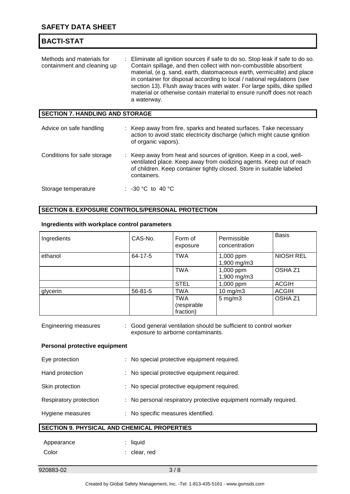| <b>BACTI-STAT</b>                                        |                                                                                                                                                                                                                                                                                                                                                                                                                                                                                  |
|----------------------------------------------------------|----------------------------------------------------------------------------------------------------------------------------------------------------------------------------------------------------------------------------------------------------------------------------------------------------------------------------------------------------------------------------------------------------------------------------------------------------------------------------------|
| Methods and materials for<br>containment and cleaning up | : Eliminate all ignition sources if safe to do so. Stop leak if safe to do so.<br>Contain spillage, and then collect with non-combustible absorbent<br>material, (e.g. sand, earth, diatomaceous earth, vermiculite) and place<br>in container for disposal according to local / national regulations (see<br>section 13). Flush away traces with water. For large spills, dike spilled<br>material or otherwise contain material to ensure runoff does not reach<br>a waterway. |
| <b>SECTION 7. HANDLING AND STORAGE</b>                   |                                                                                                                                                                                                                                                                                                                                                                                                                                                                                  |
| Advice on safe handling                                  | : Keep away from fire, sparks and heated surfaces. Take necessary<br>action to avoid static electricity discharge (which might cause ignition<br>of organic vapors).                                                                                                                                                                                                                                                                                                             |
| Conditions for safe storage                              | Keep away from heat and sources of ignition. Keep in a cool, well-<br>ventilated place. Keep away from oxidizing agents. Keep out of reach<br>of children. Keep container tightly closed. Store in suitable labeled<br>containers.                                                                                                                                                                                                                                               |
| Storage temperature                                      | : -30 °C to 40 °C                                                                                                                                                                                                                                                                                                                                                                                                                                                                |

### **SECTION 8. EXPOSURE CONTROLS/PERSONAL PROTECTION**

#### **Ingredients with workplace control parameters**

| Ingredients | CAS-No.       | Form of<br>exposure                    | Permissible<br>concentration | <b>Basis</b>       |
|-------------|---------------|----------------------------------------|------------------------------|--------------------|
| ethanol     | 64-17-5       | <b>TWA</b>                             | 1,000 ppm<br>1,900 mg/m3     | <b>NIOSH REL</b>   |
|             |               | <b>TWA</b>                             | 1,000 ppm<br>1,900 mg/m3     | OSHA <sub>Z1</sub> |
|             |               | <b>STEL</b>                            | 1,000 ppm                    | <b>ACGIH</b>       |
| glycerin    | $56 - 81 - 5$ | TWA                                    | 10 mg/m3                     | <b>ACGIH</b>       |
|             |               | <b>TWA</b><br>(respirable<br>fraction) | $5$ mg/m $3$                 | OSHA Z1            |

| <b>Engineering measures</b> | : Good general ventilation should be sufficient to control worker |
|-----------------------------|-------------------------------------------------------------------|
|                             | exposure to airborne contaminants.                                |

#### **Personal protective equipment**

| Eye protection         | : No special protective equipment required.                       |
|------------------------|-------------------------------------------------------------------|
| Hand protection        | : No special protective equipment required.                       |
| Skin protection        | : No special protective equipment required.                       |
| Respiratory protection | : No personal respiratory protective equipment normally required. |
| Hygiene measures       | : No specific measures identified.                                |
|                        | <b>SECTION 9. PHYSICAL AND CHEMICAL PROPERTIES</b>                |
| Appearance             | $:$ liquid                                                        |
| Color                  | : clear, red                                                      |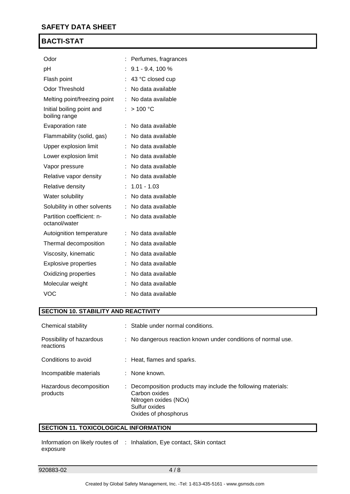| Odor                                       | Perfumes, fragrances |
|--------------------------------------------|----------------------|
| pH                                         | $9.1 - 9.4$ , 100 %  |
| Flash point                                | 43 °C closed cup     |
| <b>Odor Threshold</b>                      | No data available    |
| Melting point/freezing point               | : No data available  |
| Initial boiling point and<br>boiling range | : $> 100 °C$         |
| Evaporation rate                           | No data available    |
| Flammability (solid, gas)                  | No data available    |
| Upper explosion limit                      | No data available    |
| Lower explosion limit                      | No data available    |
| Vapor pressure                             | : No data available  |
| Relative vapor density                     | No data available    |
| Relative density                           | $: 1.01 - 1.03$      |
| Water solubility                           | No data available    |
| Solubility in other solvents               | No data available    |
| Partition coefficient: n-<br>octanol/water | : No data available  |
| Autoignition temperature                   | No data available    |
| Thermal decomposition                      | No data available    |
| Viscosity, kinematic                       | No data available    |
| <b>Explosive properties</b>                | No data available    |
| Oxidizing properties                       | No data available    |
| Molecular weight                           | No data available    |
| <b>VOC</b>                                 | No data available    |

#### **SECTION 10. STABILITY AND REACTIVITY**

| Chemical stability                    | : Stable under normal conditions.                                                                                                                |
|---------------------------------------|--------------------------------------------------------------------------------------------------------------------------------------------------|
| Possibility of hazardous<br>reactions | : No dangerous reaction known under conditions of normal use.                                                                                    |
| Conditions to avoid                   | : Heat, flames and sparks.                                                                                                                       |
| Incompatible materials                | : None known.                                                                                                                                    |
| Hazardous decomposition<br>products   | : Decomposition products may include the following materials:<br>Carbon oxides<br>Nitrogen oxides (NOx)<br>Sulfur oxides<br>Oxides of phosphorus |

### **SECTION 11. TOXICOLOGICAL INFORMATION**

Information on likely routes of : Inhalation, Eye contact, Skin contact exposure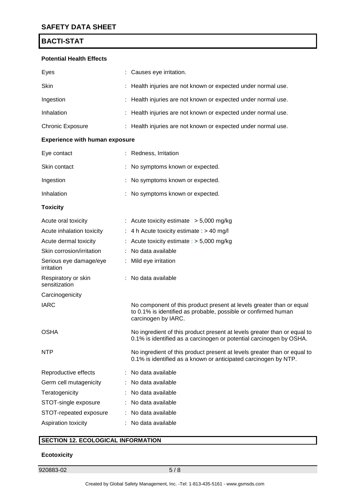#### **Potential Health Effects**

| Eyes                                  |   | Causes eye irritation.                                                                                                                                        |  |  |  |
|---------------------------------------|---|---------------------------------------------------------------------------------------------------------------------------------------------------------------|--|--|--|
| Skin                                  |   | Health injuries are not known or expected under normal use.                                                                                                   |  |  |  |
| Ingestion                             |   | Health injuries are not known or expected under normal use.                                                                                                   |  |  |  |
| Inhalation                            |   | Health injuries are not known or expected under normal use.                                                                                                   |  |  |  |
| <b>Chronic Exposure</b>               | ÷ | Health injuries are not known or expected under normal use.                                                                                                   |  |  |  |
| <b>Experience with human exposure</b> |   |                                                                                                                                                               |  |  |  |
| Eye contact                           |   | Redness, Irritation                                                                                                                                           |  |  |  |
| Skin contact                          |   | No symptoms known or expected.                                                                                                                                |  |  |  |
| Ingestion                             |   | No symptoms known or expected.                                                                                                                                |  |  |  |
| Inhalation                            |   | No symptoms known or expected.                                                                                                                                |  |  |  |
| <b>Toxicity</b>                       |   |                                                                                                                                                               |  |  |  |
| Acute oral toxicity                   | ÷ | Acute toxicity estimate : $>$ 5,000 mg/kg                                                                                                                     |  |  |  |
| Acute inhalation toxicity             |   | 4 h Acute toxicity estimate : > 40 mg/l                                                                                                                       |  |  |  |
| Acute dermal toxicity                 |   | Acute toxicity estimate : $> 5,000$ mg/kg                                                                                                                     |  |  |  |
| Skin corrosion/irritation             |   | No data available                                                                                                                                             |  |  |  |
| Serious eye damage/eye<br>irritation  |   | Mild eye irritation                                                                                                                                           |  |  |  |
| Respiratory or skin<br>sensitization  |   | No data available                                                                                                                                             |  |  |  |
| Carcinogenicity                       |   |                                                                                                                                                               |  |  |  |
| <b>IARC</b>                           |   | No component of this product present at levels greater than or equal<br>to 0.1% is identified as probable, possible or confirmed human<br>carcinogen by IARC. |  |  |  |
| <b>OSHA</b>                           |   | No ingredient of this product present at levels greater than or equal to<br>0.1% is identified as a carcinogen or potential carcinogen by OSHA.               |  |  |  |
| NTP                                   |   | No ingredient of this product present at levels greater than or equal to<br>0.1% is identified as a known or anticipated carcinogen by NTP.                   |  |  |  |
| Reproductive effects                  |   | No data available                                                                                                                                             |  |  |  |
| Germ cell mutagenicity                |   | No data available                                                                                                                                             |  |  |  |
| Teratogenicity                        |   | No data available                                                                                                                                             |  |  |  |
| STOT-single exposure                  |   | No data available                                                                                                                                             |  |  |  |
| STOT-repeated exposure                |   | No data available                                                                                                                                             |  |  |  |
| Aspiration toxicity                   |   | No data available                                                                                                                                             |  |  |  |

### **SECTION 12. ECOLOGICAL INFORMATION**

#### **Ecotoxicity**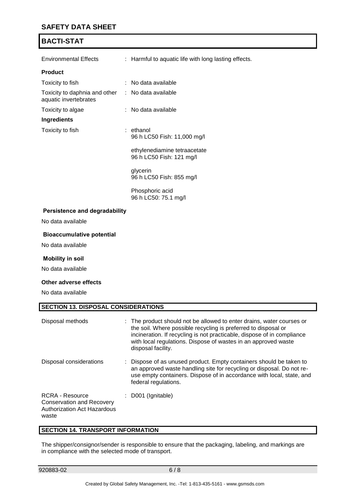### **SAFETY DATA SHEET**

### **BACTI-STAT**

| Environmental Effects                                                      | : Harmful to aquatic life with long lasting effects.     |
|----------------------------------------------------------------------------|----------------------------------------------------------|
| <b>Product</b>                                                             |                                                          |
| Toxicity to fish                                                           | : No data available                                      |
| Toxicity to daphnia and other : No data available<br>aquatic invertebrates |                                                          |
| Toxicity to algae                                                          | : No data available                                      |
| <b>Ingredients</b>                                                         |                                                          |
| Toxicity to fish                                                           | $:$ ethanol<br>96 h LC50 Fish: 11,000 mg/l               |
|                                                                            | ethylenediamine tetraacetate<br>96 h LC50 Fish: 121 mg/l |
|                                                                            | glycerin<br>96 h LC50 Fish: 855 mg/l                     |
|                                                                            | Phosphoric acid<br>96 h LC50: 75.1 mg/l                  |
| <b>Persistence and degradability</b>                                       |                                                          |
| No data available                                                          |                                                          |

#### **Bioaccumulative potential**

No data available

#### **Mobility in soil**

No data available

#### **Other adverse effects**

No data available

| <b>SECTION 13. DISPOSAL CONSIDERATIONS</b>                                                                |                                                                                                                                                                                                                                                                                                            |  |  |  |
|-----------------------------------------------------------------------------------------------------------|------------------------------------------------------------------------------------------------------------------------------------------------------------------------------------------------------------------------------------------------------------------------------------------------------------|--|--|--|
| Disposal methods                                                                                          | : The product should not be allowed to enter drains, water courses or<br>the soil. Where possible recycling is preferred to disposal or<br>incineration. If recycling is not practicable, dispose of in compliance<br>with local regulations. Dispose of wastes in an approved waste<br>disposal facility. |  |  |  |
| Disposal considerations                                                                                   | : Dispose of as unused product. Empty containers should be taken to<br>an approved waste handling site for recycling or disposal. Do not re-<br>use empty containers. Dispose of in accordance with local, state, and<br>federal regulations.                                                              |  |  |  |
| <b>RCRA - Resource</b><br><b>Conservation and Recovery</b><br><b>Authorization Act Hazardous</b><br>waste | : D001 (Ignitable)                                                                                                                                                                                                                                                                                         |  |  |  |

#### **SECTION 14. TRANSPORT INFORMATION**

The shipper/consignor/sender is responsible to ensure that the packaging, labeling, and markings are in compliance with the selected mode of transport.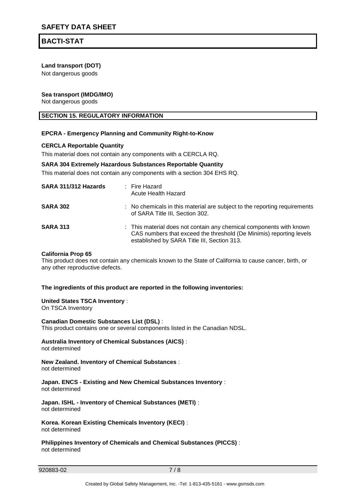#### **Land transport (DOT)**

Not dangerous goods

#### **Sea transport (IMDG/IMO)**

Not dangerous goods

#### **SECTION 15. REGULATORY INFORMATION**

#### **EPCRA - Emergency Planning and Community Right-to-Know**

#### **CERCLA Reportable Quantity**

This material does not contain any components with a CERCLA RQ.

#### **SARA 304 Extremely Hazardous Substances Reportable Quantity**

This material does not contain any components with a section 304 EHS RQ.

| SARA 311/312 Hazards | : Fire Hazard<br>Acute Health Hazard                                                                                                                                                      |
|----------------------|-------------------------------------------------------------------------------------------------------------------------------------------------------------------------------------------|
| <b>SARA 302</b>      | : No chemicals in this material are subject to the reporting requirements<br>of SARA Title III, Section 302.                                                                              |
| <b>SARA 313</b>      | : This material does not contain any chemical components with known<br>CAS numbers that exceed the threshold (De Minimis) reporting levels<br>established by SARA Title III, Section 313. |

#### **California Prop 65**

This product does not contain any chemicals known to the State of California to cause cancer, birth, or any other reproductive defects.

#### **The ingredients of this product are reported in the following inventories:**

#### **United States TSCA Inventory** :

On TSCA Inventory

**Canadian Domestic Substances List (DSL)** : This product contains one or several components listed in the Canadian NDSL.

#### **Australia Inventory of Chemical Substances (AICS)** : not determined

#### **New Zealand. Inventory of Chemical Substances** : not determined

#### **Japan. ENCS - Existing and New Chemical Substances Inventory** : not determined

**Japan. ISHL - Inventory of Chemical Substances (METI)** : not determined

**Korea. Korean Existing Chemicals Inventory (KECI)** : not determined

**Philippines Inventory of Chemicals and Chemical Substances (PICCS)** : not determined